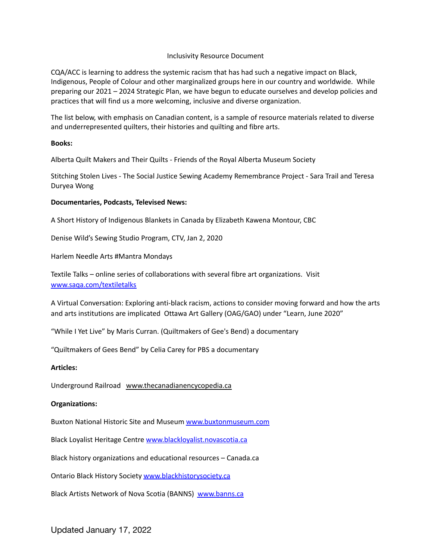## Inclusivity Resource Document

CQA/ACC is learning to address the systemic racism that has had such a negative impact on Black, Indigenous, People of Colour and other marginalized groups here in our country and worldwide. While preparing our 2021 – 2024 Strategic Plan, we have begun to educate ourselves and develop policies and practices that will find us a more welcoming, inclusive and diverse organization.

The list below, with emphasis on Canadian content, is a sample of resource materials related to diverse and underrepresented quilters, their histories and quilting and fibre arts.

#### **Books:**

Alberta Quilt Makers and Their Quilts - Friends of the Royal Alberta Museum Society

Stitching Stolen Lives - The Social Justice Sewing Academy Remembrance Project - Sara Trail and Teresa Duryea Wong

## **Documentaries, Podcasts, Televised News:**

A Short History of Indigenous Blankets in Canada by Elizabeth Kawena Montour, CBC

Denise Wild's Sewing Studio Program, CTV, Jan 2, 2020

Harlem Needle Arts #Mantra Mondays

Textile Talks – online series of collaborations with several fibre art organizations. Visit [www.saqa.com/textiletalks](http://www.saqa.com/textiletalks)

A Virtual Conversation: Exploring anti-black racism, actions to consider moving forward and how the arts and arts institutions are implicated Ottawa Art Gallery (OAG/GAO) under "Learn, June 2020"

"While I Yet Live" by Maris Curran. (Quiltmakers of Gee's Bend) a documentary

"Quiltmakers of Gees Bend" by Celia Carey for PBS a documentary

#### **Articles:**

Underground Railroad [www.thecanadianencycopedia.ca](http://www.thecanadianencycopedia.ca)

#### **Organizations:**

Buxton National Historic Site and Museum [www.buxtonmuseum.com](http://www.buxtonmuseum.com)

Black Loyalist Heritage Centre [www.blackloyalist.novascotia.ca](http://www.blackloyalist.novascotia.ca)

Black history organizations and educational resources – Canada.ca

Ontario Black History Society [www.blackhistorysociety.ca](http://www.blackhistorysociety.ca)

Black Artists Network of Nova Scotia (BANNS) [www.banns.ca](http://www.banns.ca)

## Updated January 17, 2022